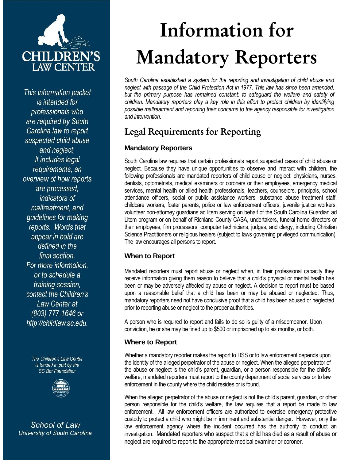

This information packet is intended for professionals who are required by South Carolina law to report suspected child abuse and neglect. It includes legal requirements, an overview of how reports are processed, indicators of maltreatment, and quidelines for making reports. Words that appear in bold are defined in the final section. For more information. or to schedule a training session, contact the Children's Law Center at (803) 777-1646 or http://childlaw.sc.edu.

> The Children's Law Center is funded in part by the **SC Bar Foundation**



**School of Law** University of South Carolina

# **Information for Mandatory Reporters**

*South Carolina established a system for the reporting and investigation of child abuse and neglect with passage of the Child Protection Act in 1977. This law has since been amended,*  but the primary purpose has remained constant: to safeguard the welfare and safety of *children. Mandatory reporters play a key role in this effort to protect children by identifying possible maltreatment and reporting their concerns to the agency responsible for investigation and intervention.* 

# **Legal Requirements for Reporting**

#### **Mandatory Reporters**

South Carolina law requires that certain professionals report suspected cases of child abuse or neglect. Because they have unique opportunities to observe and interact with children, the following professionals are mandated reporters of child abuse or neglect: physicians, nurses, dentists, optometrists, medical examiners or coroners or their employees, emergency medical services, mental health or allied health professionals, teachers, counselors, principals, school attendance officers, social or public assistance workers, substance abuse treatment staff, childcare workers, foster parents, police or law enforcement officers, juvenile justice workers, volunteer non-attorney guardians ad litem serving on behalf of the South Carolina Guardian ad Litem program or on behalf of Richland County CASA, undertakers, funeral home directors or their employees, film processors, computer technicians, judges, and clergy, including Christian Science Practitioners or religious healers (subject to laws governing privileged communication). The law encourages all persons to report.

#### **When to Report**

Mandated reporters must report abuse or neglect when, in their professional capacity they receive information giving them reason to believe that a child's physical or mental health has been or may be adversely affected by abuse or neglect. A decision to report must be based upon a reasonable belief that a child has been or may be abused or neglected. Thus, mandatory reporters need not have conclusive proof that a child has been abused or neglected prior to reporting abuse or neglect to the proper authorities.

A person who is required to report and fails to do so is guilty of a misdemeanor. Upon conviction, he or she may be fined up to \$500 or imprisoned up to six months, or both.

#### **Where to Report**

Whether a mandatory reporter makes the report to DSS or to law enforcement depends upon the identity of the alleged perpetrator of the abuse or neglect. When the alleged perpetrator of the abuse or neglect is the child's parent, guardian, or a person responsible for the child's welfare, mandated reporters must report to the county department of social services or to law enforcement in the county where the child resides or is found.

When the alleged perpetrator of the abuse or neglect is not the child's parent, guardian, or other person responsible for the child's welfare, the law requires that a report be made to law enforcement. All law enforcement officers are authorized to exercise emergency protective custody to protect a child who might be in imminent and substantial danger. However, only the law enforcement agency where the incident occurred has the authority to conduct an investigation. Mandated reporters who suspect that a child has died as a result of abuse or neglect are required to report to the appropriate medical examiner or coroner.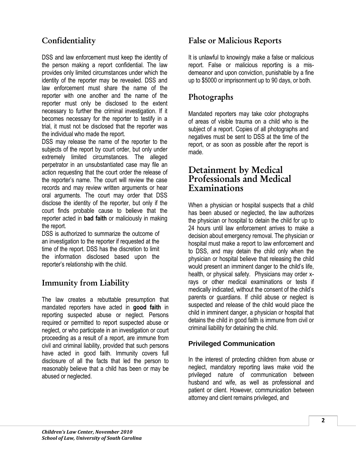## **Confidentiality**

DSS and law enforcement must keep the identity of the person making a report confidential. The law provides only limited circumstances under which the identity of the reporter may be revealed. DSS and law enforcement must share the name of the reporter with one another and the name of the reporter must only be disclosed to the extent necessary to further the criminal investigation. If it becomes necessary for the reporter to testify in a trial, it must not be disclosed that the reporter was the individual who made the report.

DSS may release the name of the reporter to the subjects of the report by court order, but only under extremely limited circumstances. The alleged perpetrator in an unsubstantiated case may file an action requesting that the court order the release of the reporter's name. The court will review the case records and may review written arguments or hear oral arguments. The court may order that DSS disclose the identity of the reporter, but only if the court finds probable cause to believe that the reporter acted in **bad faith** or maliciously in making the report.

DSS is authorized to summarize the outcome of an investigation to the reporter if requested at the time of the report. DSS has the discretion to limit the information disclosed based upon the reporter's relationship with the child.

## **Immunity from Liability**

The law creates a rebuttable presumption that mandated reporters have acted in **good faith** in reporting suspected abuse or neglect. Persons required or permitted to report suspected abuse or neglect, or who participate in an investigation or court proceeding as a result of a report, are immune from civil and criminal liability, provided that such persons have acted in good faith. Immunity covers full disclosure of all the facts that led the person to reasonably believe that a child has been or may be abused or neglected.

## **False or Malicious Reports**

It is unlawful to knowingly make a false or malicious report. False or malicious reporting is a misdemeanor and upon conviction, punishable by a fine up to \$5000 or imprisonment up to 90 days, or both.

## **Photographs**

Mandated reporters may take color photographs of areas of visible trauma on a child who is the subject of a report. Copies of all photographs and negatives must be sent to DSS at the time of the report, or as soon as possible after the report is made.

## **Detainment by Medical Professionals and Medical Examinations**

When a physician or hospital suspects that a child has been abused or neglected, the law authorizes the physician or hospital to detain the child for up to 24 hours until law enforcement arrives to make a decision about emergency removal. The physician or hospital must make a report to law enforcement and to DSS, and may detain the child only when the physician or hospital believe that releasing the child would present an imminent danger to the child's life, health, or physical safety. Physicians may order xrays or other medical examinations or tests if medically indicated, without the consent of the child's parents or guardians. If child abuse or neglect is suspected and release of the child would place the child in imminent danger, a physician or hospital that detains the child in good faith is immune from civil or criminal liability for detaining the child.

#### **Privileged Communication**

In the interest of protecting children from abuse or neglect, mandatory reporting laws make void the privileged nature of communication between husband and wife, as well as professional and patient or client. However, communication between attorney and client remains privileged, and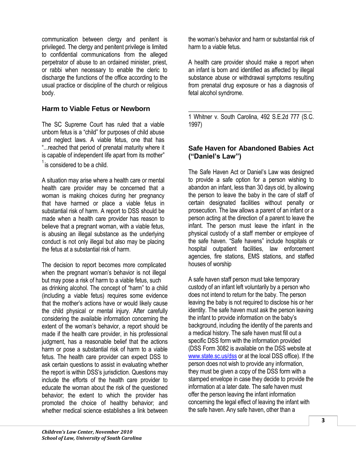communication between clergy and penitent is privileged. The clergy and penitent privilege is limited to confidential communications from the alleged perpetrator of abuse to an ordained minister, priest, or rabbi when necessary to enable the cleric to discharge the functions of the office according to the usual practice or discipline of the church or religious body.

#### **Harm to Viable Fetus or Newborn**

The SC Supreme Court has ruled that a viable unborn fetus is a "child" for purposes of child abuse and neglect laws. A viable fetus, one that has "...reached that period of prenatal maturity where it is capable of independent life apart from its mother"  $1$  is considered to be a child.

A situation may arise where a health care or mental health care provider may be concerned that a woman is making choices during her pregnancy that have harmed or place a viable fetus in substantial risk of harm. A report to DSS should be made when a health care provider has reason to believe that a pregnant woman, with a viable fetus, is abusing an illegal substance as the underlying conduct is not only illegal but also may be placing the fetus at a substantial risk of harm.

The decision to report becomes more complicated when the pregnant woman's behavior is not illegal but may pose a risk of harm to a viable fetus, such as drinking alcohol. The concept of "harm" to a child (including a viable fetus) requires some evidence that the mother's actions have or would likely cause the child physical or mental injury. After carefully considering the available information concerning the extent of the woman's behavior, a report should be made if the health care provider, in his professional judgment, has a reasonable belief that the actions harm or pose a substantial risk of harm to a viable fetus. The health care provider can expect DSS to ask certain questions to assist in evaluating whether the report is within DSS's jurisdiction. Questions may include the efforts of the health care provider to educate the woman about the risk of the questioned behavior; the extent to which the provider has promoted the choice of healthy behavior; and whether medical science establishes a link between

the woman's behavior and harm or substantial risk of harm to a viable fetus.

A health care provider should make a report when an infant is born and identified as affected by illegal substance abuse or withdrawal symptoms resulting from prenatal drug exposure or has a diagnosis of fetal alcohol syndrome.

\_\_\_\_\_\_\_\_\_\_\_\_\_\_\_\_\_\_\_\_\_\_\_\_\_\_\_\_\_\_\_\_\_\_\_\_ 1 Whitner v. South Carolina, 492 S.E.2d 777 (S.C. 1997)

#### **Safe Haven for Abandoned Babies Act ("Daniel's Law")**

The Safe Haven Act or Daniel's Law was designed to provide a safe option for a person wishing to abandon an infant, less than 30 days old, by allowing the person to leave the baby in the care of staff of certain designated facilities without penalty or prosecution. The law allows a parent of an infant or a person acting at the direction of a parent to leave the infant. The person must leave the infant in the physical custody of a staff member or employee of the safe haven. "Safe havens" include hospitals or hospital outpatient facilities, law enforcement agencies, fire stations, EMS stations, and staffed houses of worship

A safe haven staff person must take temporary custody of an infant left voluntarily by a person who does not intend to return for the baby. The person leaving the baby is not required to disclose his or her identity. The safe haven must ask the person leaving the infant to provide information on the baby's background, including the identity of the parents and a medical history. The safe haven must fill out a specific DSS form with the information provided (DSS Form 3082 is available on the DSS website at [www.state.sc.us/dss](http://www.state.sc.us/dss) or at the local DSS office). If the person does not wish to provide any information, they must be given a copy of the DSS form with a stamped envelope in case they decide to provide the information at a later date. The safe haven must offer the person leaving the infant information concerning the legal effect of leaving the infant with the safe haven. Any safe haven, other than a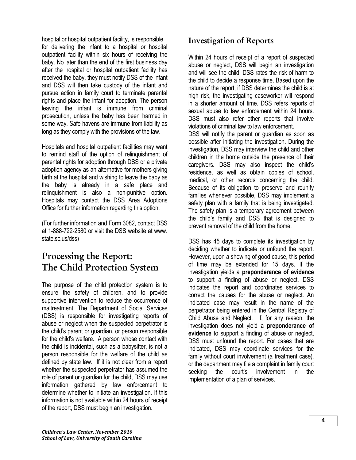hospital or hospital outpatient facility, is responsible for delivering the infant to a hospital or hospital outpatient facility within six hours of receiving the baby. No later than the end of the first business day after the hospital or hospital outpatient facility has received the baby, they must notify DSS of the infant and DSS will then take custody of the infant and pursue action in family court to terminate parental rights and place the infant for adoption. The person leaving the infant is immune from criminal prosecution, unless the baby has been harmed in some way. Safe havens are immune from liability as long as they comply with the provisions of the law.

Hospitals and hospital outpatient facilities may want to remind staff of the option of relinquishment of parental rights for adoption through DSS or a private adoption agency as an alternative for mothers giving birth at the hospital and wishing to leave the baby as the baby is already in a safe place and relinquishment is also a non-punitive option. Hospitals may contact the DSS Area Adoptions Office for further information regarding this option.

(For further information and Form 3082, contact DSS at 1-888-722-2580 or visit the DSS website at www. state.sc.us/dss)

# **Processing the Report: The Child Protection System**

The purpose of the child protection system is to ensure the safety of children, and to provide supportive intervention to reduce the occurrence of maltreatment. The Department of Social Services (DSS) is responsible for investigating reports of abuse or neglect when the suspected perpetrator is the child's parent or guardian, or person responsible for the child's welfare. A person whose contact with the child is incidental, such as a babysitter, is not a person responsible for the welfare of the child as defined by state law. If it is not clear from a report whether the suspected perpetrator has assumed the role of parent or guardian for the child, DSS may use information gathered by law enforcement to determine whether to initiate an investigation. If this information is not available within 24 hours of receipt of the report, DSS must begin an investigation.

## **Investigation of Reports**

Within 24 hours of receipt of a report of suspected abuse or neglect, DSS will begin an investigation and will see the child. DSS rates the risk of harm to the child to decide a response time. Based upon the nature of the report, if DSS determines the child is at high risk, the investigating caseworker will respond in a shorter amount of time. DSS refers reports of sexual abuse to law enforcement within 24 hours. DSS must also refer other reports that involve violations of criminal law to law enforcement.

DSS will notify the parent or guardian as soon as possible after initiating the investigation. During the investigation, DSS may interview the child and other children in the home outside the presence of their caregivers. DSS may also inspect the child's residence, as well as obtain copies of school, medical, or other records concerning the child. Because of its obligation to preserve and reunify families whenever possible, DSS may implement a safety plan with a family that is being investigated. The safety plan is a temporary agreement between the child's family and DSS that is designed to prevent removal of the child from the home.

DSS has 45 days to complete its investigation by deciding whether to indicate or unfound the report. However, upon a showing of good cause, this period of time may be extended for 15 days. If the investigation yields a **preponderance of evidence**  to support a finding of abuse or neglect, DSS indicates the report and coordinates services to correct the causes for the abuse or neglect. An indicated case may result in the name of the perpetrator being entered in the Central Registry of Child Abuse and Neglect. If, for any reason, the investigation does not yield a **preponderance of evidence** to support a finding of abuse or neglect, DSS must unfound the report. For cases that are indicated, DSS may coordinate services for the family without court involvement (a treatment case), or the department may file a complaint in family court seeking the court's involvement in the implementation of a plan of services.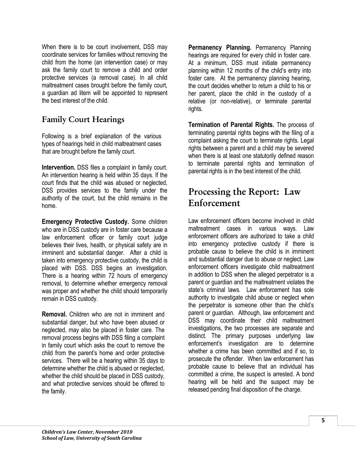When there is to be court involvement, DSS may coordinate services for families without removing the child from the home (an intervention case) or may ask the family court to remove a child and order protective services (a removal case). In all child maltreatment cases brought before the family court, a guardian ad litem will be appointed to represent the best interest of the child.

## **Family Court Hearings**

Following is a brief explanation of the various types of hearings held in child maltreatment cases that are brought before the family court.

**Intervention.** DSS files a complaint in family court. An intervention hearing is held within 35 days. If the court finds that the child was abused or neglected, DSS provides services to the family under the authority of the court, but the child remains in the home.

**Emergency Protective Custody.** Some children who are in DSS custody are in foster care because a law enforcement officer or family court judge believes their lives, health, or physical safety are in imminent and substantial danger. After a child is taken into emergency protective custody, the child is placed with DSS. DSS begins an investigation. There is a hearing within 72 hours of emergency removal, to determine whether emergency removal was proper and whether the child should temporarily remain in DSS custody.

**Removal.** Children who are not in imminent and substantial danger, but who have been abused or neglected, may also be placed in foster care. The removal process begins with DSS filing a complaint in family court which asks the court to remove the child from the parent's home and order protective services. There will be a hearing within 35 days to determine whether the child is abused or neglected, whether the child should be placed in DSS custody, and what protective services should be offered to the family.

**Permanency Planning.** Permanency Planning hearings are required for every child in foster care. At a minimum, DSS must initiate permanency planning within 12 months of the child's entry into foster care. At the permanency planning hearing, the court decides whether to return a child to his or her parent, place the child in the custody of a relative (or non-relative), or terminate parental rights.

**Termination of Parental Rights.** The process of terminating parental rights begins with the filing of a complaint asking the court to terminate rights. Legal rights between a parent and a child may be severed when there is at least one statutorily defined reason to terminate parental rights and termination of parental rights is in the best interest of the child.

## **Processing the Report: Law Enforcement**

Law enforcement officers become involved in child maltreatment cases in various ways. Law enforcement officers are authorized to take a child into emergency protective custody if there is probable cause to believe the child is in imminent and substantial danger due to abuse or neglect. Law enforcement officers investigate child maltreatment in addition to DSS when the alleged perpetrator is a parent or guardian and the maltreatment violates the state's criminal laws. Law enforcement has sole authority to investigate child abuse or neglect when the perpetrator is someone other than the child's parent or guardian. Although, law enforcement and DSS may coordinate their child maltreatment investigations, the two processes are separate and distinct. The primary purposes underlying law enforcement's investigation are to determine whether a crime has been committed and if so, to prosecute the offender. When law enforcement has probable cause to believe that an individual has committed a crime, the suspect is arrested. A bond hearing will be held and the suspect may be released pending final disposition of the charge.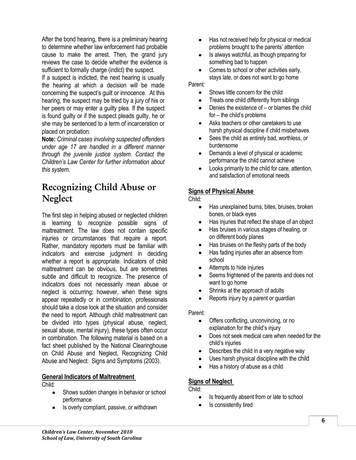After the bond hearing, there is a preliminary hearing to determine whether law enforcement had probable cause to make the arrest. Then, the grand jury reviews the case to decide whether the evidence is sufficient to formally charge (indict) the suspect.

If a suspect is indicted, the next hearing is usually the hearing at which a decision will be made concerning the suspect's guilt or innocence. At this hearing, the suspect may be tried by a jury of his or her peers or may enter a guilty plea. If the suspect is found guilty or if the suspect pleads guilty, he or she may be sentenced to a term of incarceration or placed on probation.

**Note:** *Criminal cases involving suspected offenders under age 17 are handled in a different manner through the juvenile justice system. Contact the Children's Law Center for further information about this system.*

## **Recognizing Child Abuse or Neglect**

The first step in helping abused or neglected children is learning to recognize possible signs of maltreatment. The law does not contain specific injuries or circumstances that require a report. Rather, mandatory reporters must be familiar with indicators and exercise judgment in deciding whether a report is appropriate. Indicators of child maltreatment can be obvious, but are sometimes subtle and difficult to recognize. The presence of indicators does not necessarily mean abuse or neglect is occurring; however, when these signs appear repeatedly or in combination, professionals should take a close look at the situation and consider the need to report. Although child maltreatment can be divided into types (physical abuse, neglect, sexual abuse, mental injury), these types often occur in combination. The following material is based on a fact sheet published by the National Clearinghouse on Child Abuse and Neglect, Recognizing Child Abuse and Neglect: Signs and Symptoms (2003).

#### **General Indicators of Maltreatment**

Child:

- Shows sudden changes in behavior or school performance
- Is overly compliant, passive, or withdrawn
- Has not received help for physical or medical problems brought to the parents' attention
- Is always watchful, as though preparing for something bad to happen
- Comes to school or other activities early, stays late, or does not want to go home

Parent:

- Shows little concern for the child
- Treats one child differently from siblings  $\bullet$
- Denies the existence of or blames the child for – the child's problems
- Asks teachers or other caretakers to use  $\bullet$ harsh physical discipline if child misbehaves
- Sees the child as entirely bad, worthless, or  $\bullet$ burdensome
- Demands a level of physical or academic performance the child cannot achieve
- Looks primarily to the child for care, attention, and satisfaction of emotional needs

#### **Signs of Physical Abuse**

#### Child:

- $\bullet$ Has unexplained burns, bites, bruises, broken bones, or black eyes
- Has injuries that reflect the shape of an object
- Has bruises in various stages of healing, or on different body planes
- Has bruises on the fleshy parts of the body
- Has fading injuries after an absence from school
- Attempts to hide injuries
- Seems frightened of the parents and does not want to go home
- Shrinks at the approach of adults  $\bullet$
- Reports injury by a parent or guardian

#### Parent:

- Offers conflicting, unconvincing, or no  $\bullet$ explanation for the child's injury
- Does not seek medical care when needed for the child's injuries
- Describes the child in a very negative way
- Uses harsh physical discipline with the child
- Has a history of abuse as a child

#### **Signs of Neglect**

#### Child:

- Is frequently absent from or late to school
- Is consistently tired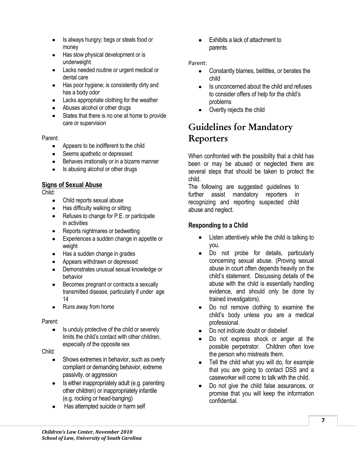- Is always hungry; begs or steals food or money
- Has slow physical development or is underweight
- Lacks needed routine or urgent medical or dental care
- Has poor hygiene; is consistently dirty and has a body odor
- Lacks appropriate clothing for the weather
- Abuses alcohol or other drugs
- States that there is no one at home to provide care or supervision

#### Parent:

- $\bullet$ Appears to be indifferent to the child
- Seems apathetic or depressed
- Behaves irrationally or in a bizarre manner
- Is abusing alcohol or other drugs

#### **Signs of Sexual Abuse**

#### Child:

- Child reports sexual abuse
- Has difficulty walking or sitting
- Refuses to change for P.E. or participate in activities
- Reports nightmares or bedwetting  $\bullet$
- Experiences a sudden change in appetite or  $\bullet$ weight
- Has a sudden change in grades
- Appears withdrawn or depressed
- Demonstrates unusual sexual knowledge or behavior
- Becomes pregnant or contracts a sexually  $\bullet$ transmitted disease, particularly if under age 14
- Runs away from home  $\bullet$

#### Parent:

Is unduly protective of the child or severely  $\bullet$ limits the child's contact with other children, especially of the opposite sex

#### Child:

- Shows extremes in behavior, such as overly compliant or demanding behavior, extreme passivity, or aggression
- Is either inappropriately adult (e.g. parenting  $\bullet$ other children) or inappropriately infantile (e.g. rocking or head-banging)
- Has attempted suicide or harm self

Exhibits a lack of attachment to parents

#### Parent:

- Constantly blames, belittles, or berates the  $\bullet$ child
- Is unconcerned about the child and refuses to consider offers of help for the child's problems
- Overtly rejects the child

# **Guidelines for Mandatory Reporters**

When confronted with the possibility that a child has been or may be abused or neglected there are several steps that should be taken to protect the child.

The following are suggested guidelines to further assist mandatory reporters in recognizing and reporting suspected child abuse and neglect.

#### **Responding to a Child**

- Listen attentively while the child is talking to you.
- Do not probe for details, particularly concerning sexual abuse. (Proving sexual abuse in court often depends heavily on the child's statement. Discussing details of the abuse with the child is essentially handling evidence, and should only be done by trained investigators).
- Do not remove clothing to examine the child's body unless you are a medical professional.
- Do not indicate doubt or disbelief.
- Do not express shock or anger at the possible perpetrator. Children often love the person who mistreats them.
- Tell the child what you will do, for example that you are going to contact DSS and a caseworker will come to talk with the child.
- Do not give the child false assurances, or promise that you will keep the information confidential.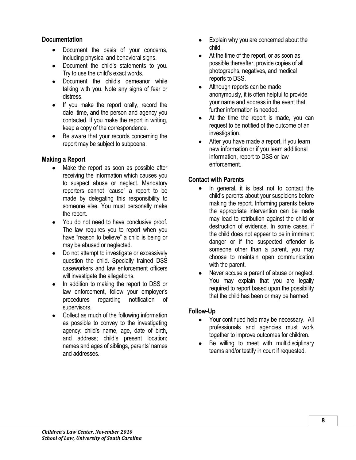#### **Documentation**

- Document the basis of your concerns, including physical and behavioral signs.
- Document the child's statements to you. Try to use the child's exact words.
- Document the child's demeanor while talking with you. Note any signs of fear or distress.
- If you make the report orally, record the date, time, and the person and agency you contacted. If you make the report in writing, keep a copy of the correspondence.
- Be aware that your records concerning the report may be subject to subpoena.

#### **Making a Report**

- Make the report as soon as possible after receiving the information which causes you to suspect abuse or neglect. Mandatory reporters cannot "cause" a report to be made by delegating this responsibility to someone else. You must personally make the report.
- You do not need to have conclusive proof. The law requires you to report when you have "reason to believe" a child is being or may be abused or neglected.
- Do not attempt to investigate or excessively question the child. Specially trained DSS caseworkers and law enforcement officers will investigate the allegations.
- In addition to making the report to DSS or law enforcement, follow your employer's procedures regarding notification of supervisors.
- Collect as much of the following information as possible to convey to the investigating agency: child's name, age, date of birth, and address; child's present location; names and ages of siblings, parents' names and addresses.
- Explain why you are concerned about the child.
- At the time of the report, or as soon as possible thereafter, provide copies of all photographs, negatives, and medical reports to DSS.
- Although reports can be made anonymously, it is often helpful to provide your name and address in the event that further information is needed.
- At the time the report is made, you can request to be notified of the outcome of an investigation.
- After you have made a report, if you learn new information or if you learn additional information, report to DSS or law enforcement.

#### **Contact with Parents**

- In general, it is best not to contact the child's parents about your suspicions before making the report. Informing parents before the appropriate intervention can be made may lead to retribution against the child or destruction of evidence. In some cases, if the child does not appear to be in imminent danger or if the suspected offender is someone other than a parent, you may choose to maintain open communication with the parent.
- Never accuse a parent of abuse or neglect. You may explain that you are legally required to report based upon the possibility that the child has been or may be harmed.

#### **Follow-Up**

- Your continued help may be necessary. All professionals and agencies must work together to improve outcomes for children.
- Be willing to meet with multidisciplinary teams and/or testify in court if requested.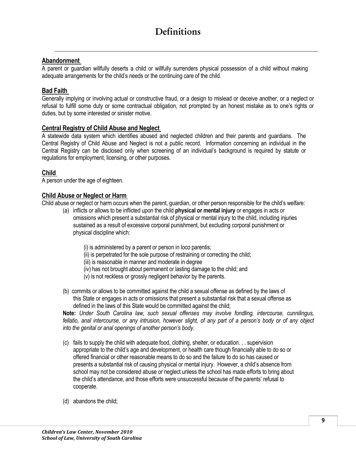#### **Abandonment**

A parent or guardian willfully deserts a child or willfully surrenders physical possession of a child without making adequate arrangements for the child's needs or the continuing care of the child.

#### **Bad Faith**

Generally implying or involving actual or constructive fraud, or a design to mislead or deceive another, or a neglect or refusal to fulfill some duty or some contractual obligation, not prompted by an honest mistake as to one's rights or duties, but by some interested or sinister motive.

#### **Central Registry of Child Abuse and Neglect**

A statewide data system which identifies abused and neglected children and their parents and guardians. The Central Registry of Child Abuse and Neglect is not a public record. Information concerning an individual in the Central Registry can be disclosed only when screening of an individual's background is required by statute or regulations for employment, licensing, or other purposes.

#### **Child**

A person under the age of eighteen.

#### **Child Abuse or Neglect or Harm**

Child abuse or neglect or harm occurs when the parent, guardian, or other person responsible for the child's welfare:

- (a) inflicts or allows to be inflicted upon the child **physical or mental injury** or engages in acts or omissions which present a substantial risk of physical or mental injury to the child, including injuries sustained as a result of excessive corporal punishment, but excluding corporal punishment or physical discipline which:
	- (i) is administered by a parent or person in loco parentis;
	- (ii) is perpetrated for the sole purpose of restraining or correcting the child;
	- (iii) is reasonable in manner and moderate in degree
	- (iv) has not brought about permanent or lasting damage to the child; and
	- (v) is not reckless or grossly negligent behavior by the parents.
- (b) commits or allows to be committed against the child a sexual offense as defined by the laws of this State or engages in acts or omissions that present a substantial risk that a sexual offense as defined in the laws of this State would be committed against the child;

**Note:** *Under South Carolina law, such sexual offenses may involve fondling, intercourse, cunnilingus, fellatio, anal intercourse, or any intrusion, however slight, of any part of a person's body or of any object into the genital or anal openings of another person's body.*

- (c) fails to supply the child with adequate food, clothing, shelter, or education. . . supervision appropriate to the child's age and development, or health care though financially able to do so or offered financial or other reasonable means to do so and the failure to do so has caused or presents a substantial risk of causing physical or mental injury. However, a child's absence from school may not be considered abuse or neglect unless the school has made efforts to bring about the child's attendance, and those efforts were unsuccessful because of the parents' refusal to cooperate.
- (d) abandons the child;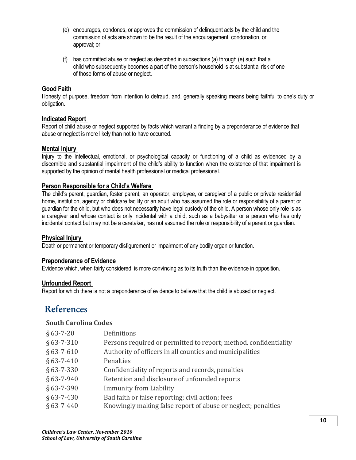- (e) encourages, condones, or approves the commission of delinquent acts by the child and the commission of acts are shown to be the result of the encouragement, condonation, or approval; or
- (f) has committed abuse or neglect as described in subsections (a) through (e) such that a child who subsequently becomes a part of the person's household is at substantial risk of one of those forms of abuse or neglect.

#### **Good Faith**

Honesty of purpose, freedom from intention to defraud, and, generally speaking means being faithful to one's duty or obligation.

#### **Indicated Report**

Report of child abuse or neglect supported by facts which warrant a finding by a preponderance of evidence that abuse or neglect is more likely than not to have occurred.

#### **Mental Injury**

Injury to the intellectual, emotional, or psychological capacity or functioning of a child as evidenced by a discernible and substantial impairment of the child's ability to function when the existence of that impairment is supported by the opinion of mental health professional or medical professional.

#### **Person Responsible for a Child's Welfare**

The child's parent, guardian, foster parent, an operator, employee, or caregiver of a public or private residential home, institution, agency or childcare facility or an adult who has assumed the role or responsibility of a parent or guardian for the child, but who does not necessarily have legal custody of the child. A person whose only role is as a caregiver and whose contact is only incidental with a child, such as a babysitter or a person who has only incidental contact but may not be a caretaker, has not assumed the role or responsibility of a parent or guardian.

#### **Physical Injury**

Death or permanent or temporary disfigurement or impairment of any bodily organ or function.

#### **Preponderance of Evidence**

Evidence which, when fairly considered, is more convincing as to its truth than the evidence in opposition.

#### **Unfounded Report**

Report for which there is not a preponderance of evidence to believe that the child is abused or neglect.

## **References**

#### **South Carolina Codes**

| $§ 63 - 7 - 20$  | Definitions                                                      |
|------------------|------------------------------------------------------------------|
| $§ 63 - 7 - 310$ | Persons required or permitted to report; method, confidentiality |
| $§$ 63-7-610     | Authority of officers in all counties and municipalities         |
| $§ 63 - 7 - 410$ | Penalties                                                        |
| $§ 63 - 7 - 330$ | Confidentiality of reports and records, penalties                |
| $§ 63 - 7 - 940$ | Retention and disclosure of unfounded reports                    |
| $§$ 63-7-390     | <b>Immunity from Liability</b>                                   |
| $§ 63 - 7 - 430$ | Bad faith or false reporting; civil action; fees                 |
| $§ 63 - 7 - 440$ | Knowingly making false report of abuse or neglect; penalties     |